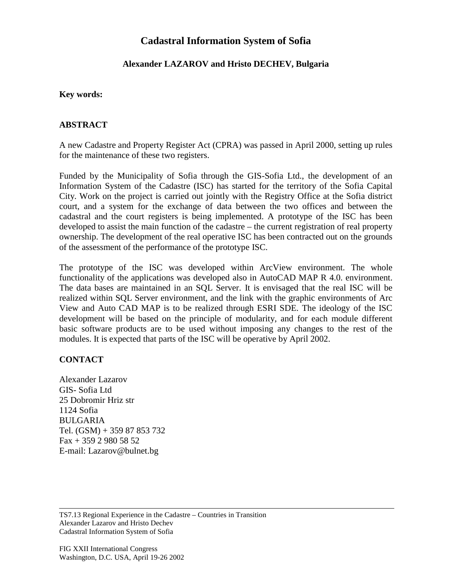# **Cadastral Information System of Sofia**

### **Alexander LAZAROV and Hristo DECHEV, Bulgaria**

#### **Key words:**

#### **ABSTRACT**

A new Cadastre and Property Register Act (CPRA) was passed in April 2000, setting up rules for the maintenance of these two registers.

Funded by the Municipality of Sofia through the GIS-Sofia Ltd., the development of an Information System of the Cadastre (ISC) has started for the territory of the Sofia Capital City. Work on the project is carried out jointly with the Registry Office at the Sofia district court, and a system for the exchange of data between the two offices and between the cadastral and the court registers is being implemented. A prototype of the ISC has been developed to assist the main function of the cadastre – the current registration of real property ownership. The development of the real operative ISC has been contracted out on the grounds of the assessment of the performance of the prototype ISC.

The prototype of the ISC was developed within ArcView environment. The whole functionality of the applications was developed also in AutoCAD MAP R 4.0. environment. The data bases are maintained in an SQL Server. It is envisaged that the real ISC will be realized within SQL Server environment, and the link with the graphic environments of Arc View and Auto CAD MAP is to be realized through ESRI SDE. The ideology of the ISC development will be based on the principle of modularity, and for each module different basic software products are to be used without imposing any changes to the rest of the modules. It is expected that parts of the ISC will be operative by April 2002.

## **CONTACT**

Alexander Lazarov GIS- Sofia Ltd 25 Dobromir Hriz str 1124 Sofia BULGARIA Tel. (GSM) + 359 87 853 732 Fax + 359 2 980 58 52 E-mail: Lazarov@bulnet.bg

TS7.13 Regional Experience in the Cadastre – Countries in Transition Alexander Lazarov and Hristo Dechev Cadastral Information System of Sofia